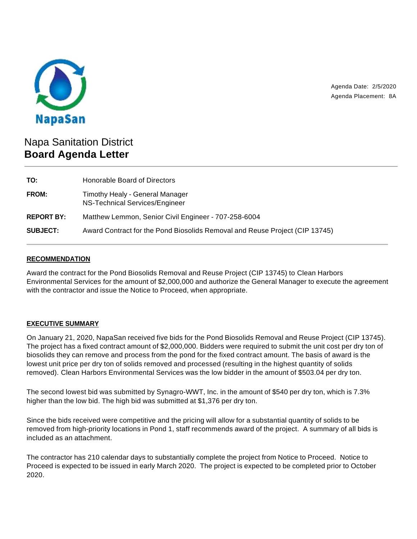

Agenda Date: 2/5/2020 Agenda Placement: 8A

# Napa Sanitation District **Board Agenda Letter**

| Honorable Board of Directors                                                |
|-----------------------------------------------------------------------------|
| Timothy Healy - General Manager<br>NS-Technical Services/Engineer           |
| Matthew Lemmon, Senior Civil Engineer - 707-258-6004                        |
| Award Contract for the Pond Biosolids Removal and Reuse Project (CIP 13745) |
|                                                                             |

## **RECOMMENDATION**

Award the contract for the Pond Biosolids Removal and Reuse Project (CIP 13745) to Clean Harbors Environmental Services for the amount of \$2,000,000 and authorize the General Manager to execute the agreement with the contractor and issue the Notice to Proceed, when appropriate.

# **EXECUTIVE SUMMARY**

On January 21, 2020, NapaSan received five bids for the Pond Biosolids Removal and Reuse Project (CIP 13745). The project has a fixed contract amount of \$2,000,000. Bidders were required to submit the unit cost per dry ton of biosolids they can remove and process from the pond for the fixed contract amount. The basis of award is the lowest unit price per dry ton of solids removed and processed (resulting in the highest quantity of solids removed). Clean Harbors Environmental Services was the low bidder in the amount of \$503.04 per dry ton.

The second lowest bid was submitted by Synagro-WWT, Inc. in the amount of \$540 per dry ton, which is 7.3% higher than the low bid. The high bid was submitted at \$1,376 per dry ton.

Since the bids received were competitive and the pricing will allow for a substantial quantity of solids to be removed from high-priority locations in Pond 1, staff recommends award of the project. A summary of all bids is included as an attachment.

The contractor has 210 calendar days to substantially complete the project from Notice to Proceed. Notice to Proceed is expected to be issued in early March 2020. The project is expected to be completed prior to October 2020.